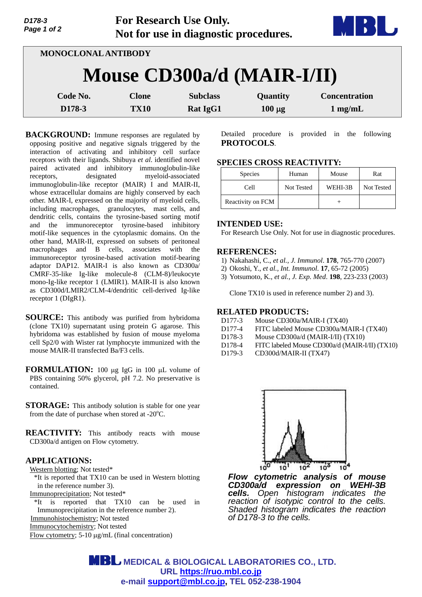| D178-3<br>Page 1 of 2 |                            | For Research Use Only.<br>Not for use in diagnostic procedures. |             |                      |
|-----------------------|----------------------------|-----------------------------------------------------------------|-------------|----------------------|
|                       | <b>MONOCLONAL ANTIBODY</b> |                                                                 |             |                      |
|                       | Mouse CD300a/d (MAIR-I/II) |                                                                 |             |                      |
| Code No.              | <b>Clone</b>               | <b>Subclass</b>                                                 | Quantity    | <b>Concentration</b> |
| D178-3                | <b>TX10</b>                | <b>Rat IgG1</b>                                                 | $100 \mu g$ | $1$ mg/mL            |

**BACKGROUND:** Immune responses are regulated by opposing positive and negative signals triggered by the interaction of activating and inhibitory cell surface receptors with their ligands. Shibuya *et al*. identified novel paired activated and inhibitory immunoglobulin-like receptors, designated myeloid-associated immunoglobulin-like receptor (MAIR) I and MAIR-II, whose extracellular domains are highly conserved by each other. MAIR-I, expressed on the majority of myeloid cells, including macrophages, granulocytes, mast cells, and dendritic cells, contains the tyrosine-based sorting motif and the immunoreceptor tyrosine-based inhibitory motif-like sequences in the cytoplasmic domains. On the other hand, MAIR-II, expressed on subsets of peritoneal macrophages and B cells, associates with the immunoreceptor tyrosine-based activation motif-bearing adaptor DAP12. MAIR-I is also known as CD300a/ CMRF-35-like Ig-like molecule-8 (CLM-8)/leukocyte mono-Ig-like receptor 1 (LMIR1). MAIR-II is also known as CD300d/LMIR2/CLM-4/dendritic cell-derived Ig-like receptor 1 (DIgR1).

**SOURCE:** This antibody was purified from hybridoma (clone TX10) supernatant using protein G agarose. This hybridoma was established by fusion of mouse myeloma cell Sp2/0 with Wister rat lymphocyte immunized with the mouse MAIR-II transfected Ba/F3 cells.

**FORMULATION:** 100 µg IgG in 100 µL volume of PBS containing 50% glycerol, pH 7.2. No preservative is contained.

**STORAGE:** This antibody solution is stable for one year from the date of purchase when stored at  $-20^{\circ}$ C.

**REACTIVITY:** This antibody reacts with mouse CD300a/d antigen on Flow cytometry.

### **APPLICATIONS:**

Western blotting; Not tested\*

\*It is reported that TX10 can be used in Western blotting in the reference number 3).

Immunoprecipitation; Not tested\*

\*It is reported that TX10 can be used in Immunoprecipitation in the reference number 2).

Immunohistochemistry; Not tested

Immunocytochemistry; Not tested

Flow cytometry;  $5-10 \mu g/mL$  (final concentration)

Detailed procedure is provided in the following **PROTOCOLS**.

## **SPECIES CROSS REACTIVITY:**

| <b>Species</b>    | Human      | Mouse   | Rat        |
|-------------------|------------|---------|------------|
| Cell              | Not Tested | WEHI-3B | Not Tested |
| Reactivity on FCM |            |         |            |

### **INTENDED USE:**

For Research Use Only. Not for use in diagnostic procedures.

#### **REFERENCES:**

- 1) Nakahashi, C., *et al., J. Immunol*. **178**, 765-770 (2007)
- 2) Okoshi, Y., *et al., Int. Immunol*. **17**, 65-72 (2005)
- 3) Yotsumoto, K., *et al., J. Exp. Med*. **198**, 223-233 (2003)

Clone TX10 is used in reference number 2) and 3).

## **RELATED PRODUCTS:**

- D177-3 Mouse CD300a/MAIR-I (TX40)
- D177-4 FITC labeled Mouse CD300a/MAIR-I (TX40)
- D178-3 Mouse CD300a/d (MAIR-I/II) (TX10)
- D178-4 FITC labeled Mouse CD300a/d (MAIR-I/II) (TX10)<br>D179-3 CD300d/MAIR-II (TX47)
- CD300d/MAIR-II (TX47)



*Flow cytometric analysis of mouse CD300a/d expression on WEHI-3B cells.* Open histogram indicates the *reaction of isotypic control to the cells. Shaded histogram indicates the reaction of D178-3 to the cells.* 

**MBL** MEDICAL & BIOLOGICAL LABORATORIES CO., LTD. **URL https://ruo.mbl.co.jp e-mail support@mbl.co.jp, TEL 052-238-1904**